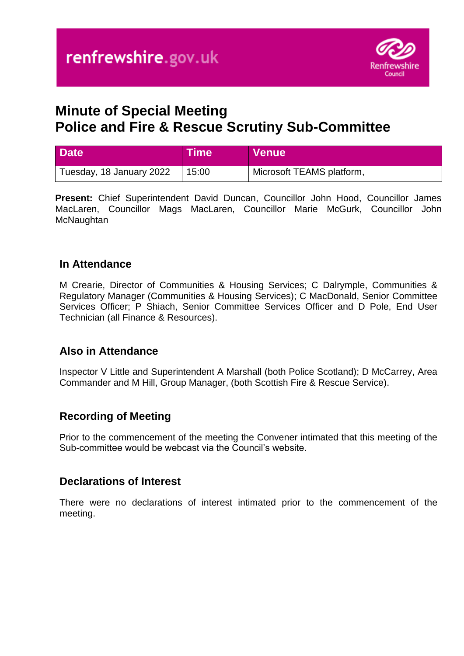

# **Minute of Special Meeting Police and Fire & Rescue Scrutiny Sub-Committee**

| <b>Date</b>              | <b>Time</b> | <b>Venue</b>              |
|--------------------------|-------------|---------------------------|
| Tuesday, 18 January 2022 | 15:00       | Microsoft TEAMS platform, |

**Present:** Chief Superintendent David Duncan, Councillor John Hood, Councillor James MacLaren, Councillor Mags MacLaren, Councillor Marie McGurk, Councillor John **McNaughtan** 

#### **In Attendance**

M Crearie, Director of Communities & Housing Services; C Dalrymple, Communities & Regulatory Manager (Communities & Housing Services); C MacDonald, Senior Committee Services Officer; P Shiach, Senior Committee Services Officer and D Pole, End User Technician (all Finance & Resources).

## **Also in Attendance**

Inspector V Little and Superintendent A Marshall (both Police Scotland); D McCarrey, Area Commander and M Hill, Group Manager, (both Scottish Fire & Rescue Service).

## **Recording of Meeting**

Prior to the commencement of the meeting the Convener intimated that this meeting of the Sub-committee would be webcast via the Council's website.

#### **Declarations of Interest**

There were no declarations of interest intimated prior to the commencement of the meeting.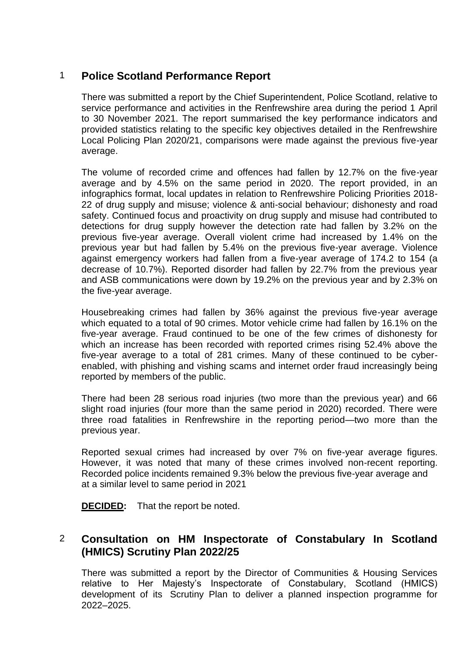# 1 **Police Scotland Performance Report**

There was submitted a report by the Chief Superintendent, Police Scotland, relative to service performance and activities in the Renfrewshire area during the period 1 April to 30 November 2021. The report summarised the key performance indicators and provided statistics relating to the specific key objectives detailed in the Renfrewshire Local Policing Plan 2020/21, comparisons were made against the previous five-year average.

The volume of recorded crime and offences had fallen by 12.7% on the five-year average and by 4.5% on the same period in 2020. The report provided, in an infographics format, local updates in relation to Renfrewshire Policing Priorities 2018- 22 of drug supply and misuse; violence & anti-social behaviour; dishonesty and road safety. Continued focus and proactivity on drug supply and misuse had contributed to detections for drug supply however the detection rate had fallen by 3.2% on the previous five-year average. Overall violent crime had increased by 1.4% on the previous year but had fallen by 5.4% on the previous five-year average. Violence against emergency workers had fallen from a five-year average of 174.2 to 154 (a decrease of 10.7%). Reported disorder had fallen by 22.7% from the previous year and ASB communications were down by 19.2% on the previous year and by 2.3% on the five-year average.

Housebreaking crimes had fallen by 36% against the previous five-year average which equated to a total of 90 crimes. Motor vehicle crime had fallen by 16.1% on the five-year average. Fraud continued to be one of the few crimes of dishonesty for which an increase has been recorded with reported crimes rising 52.4% above the five-year average to a total of 281 crimes. Many of these continued to be cyberenabled, with phishing and vishing scams and internet order fraud increasingly being reported by members of the public.

There had been 28 serious road injuries (two more than the previous year) and 66 slight road injuries (four more than the same period in 2020) recorded. There were three road fatalities in Renfrewshire in the reporting period—two more than the previous year.

Reported sexual crimes had increased by over 7% on five-year average figures. However, it was noted that many of these crimes involved non-recent reporting. Recorded police incidents remained 9.3% below the previous five-year average and at a similar level to same period in 2021

**DECIDED:** That the report be noted.

## 2 **Consultation on HM Inspectorate of Constabulary In Scotland (HMICS) Scrutiny Plan 2022/25**

There was submitted a report by the Director of Communities & Housing Services relative to Her Majesty's Inspectorate of Constabulary, Scotland (HMICS) development of its Scrutiny Plan to deliver a planned inspection programme for 2022–2025.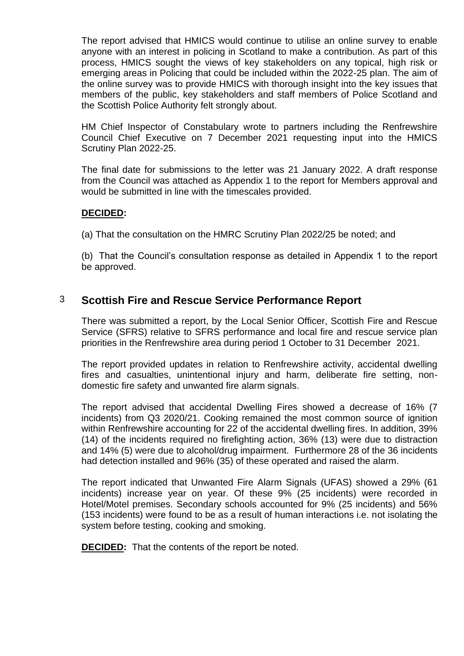The report advised that HMICS would continue to utilise an online survey to enable anyone with an interest in policing in Scotland to make a contribution. As part of this process, HMICS sought the views of key stakeholders on any topical, high risk or emerging areas in Policing that could be included within the 2022-25 plan. The aim of the online survey was to provide HMICS with thorough insight into the key issues that members of the public, key stakeholders and staff members of Police Scotland and the Scottish Police Authority felt strongly about.

HM Chief Inspector of Constabulary wrote to partners including the Renfrewshire Council Chief Executive on 7 December 2021 requesting input into the HMICS Scrutiny Plan 2022-25.

The final date for submissions to the letter was 21 January 2022. A draft response from the Council was attached as Appendix 1 to the report for Members approval and would be submitted in line with the timescales provided.

#### **DECIDED:**

(a) That the consultation on the HMRC Scrutiny Plan 2022/25 be noted; and

(b) That the Council's consultation response as detailed in Appendix 1 to the report be approved.

#### 3 **Scottish Fire and Rescue Service Performance Report**

There was submitted a report, by the Local Senior Officer, Scottish Fire and Rescue Service (SFRS) relative to SFRS performance and local fire and rescue service plan priorities in the Renfrewshire area during period 1 October to 31 December 2021.

The report provided updates in relation to Renfrewshire activity, accidental dwelling fires and casualties, unintentional injury and harm, deliberate fire setting, nondomestic fire safety and unwanted fire alarm signals.

The report advised that accidental Dwelling Fires showed a decrease of 16% (7 incidents) from Q3 2020/21. Cooking remained the most common source of ignition within Renfrewshire accounting for 22 of the accidental dwelling fires. In addition, 39% (14) of the incidents required no firefighting action, 36% (13) were due to distraction and 14% (5) were due to alcohol/drug impairment. Furthermore 28 of the 36 incidents had detection installed and 96% (35) of these operated and raised the alarm.

The report indicated that Unwanted Fire Alarm Signals (UFAS) showed a 29% (61 incidents) increase year on year. Of these 9% (25 incidents) were recorded in Hotel/Motel premises. Secondary schools accounted for 9% (25 incidents) and 56% (153 incidents) were found to be as a result of human interactions i.e. not isolating the system before testing, cooking and smoking.

**DECIDED:** That the contents of the report be noted.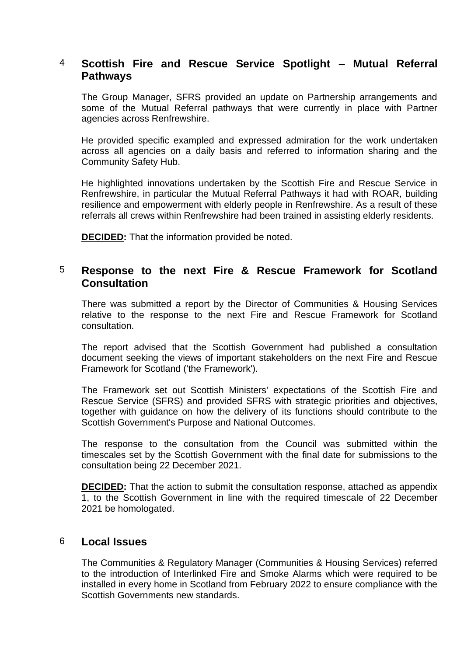## 4 **Scottish Fire and Rescue Service Spotlight – Mutual Referral Pathways**

The Group Manager, SFRS provided an update on Partnership arrangements and some of the Mutual Referral pathways that were currently in place with Partner agencies across Renfrewshire.

He provided specific exampled and expressed admiration for the work undertaken across all agencies on a daily basis and referred to information sharing and the Community Safety Hub.

He highlighted innovations undertaken by the Scottish Fire and Rescue Service in Renfrewshire, in particular the Mutual Referral Pathways it had with ROAR, building resilience and empowerment with elderly people in Renfrewshire. As a result of these referrals all crews within Renfrewshire had been trained in assisting elderly residents.

**DECIDED:** That the information provided be noted.

### 5 **Response to the next Fire & Rescue Framework for Scotland Consultation**

There was submitted a report by the Director of Communities & Housing Services relative to the response to the next Fire and Rescue Framework for Scotland consultation.

The report advised that the Scottish Government had published a consultation document seeking the views of important stakeholders on the next Fire and Rescue Framework for Scotland ('the Framework').

The Framework set out Scottish Ministers' expectations of the Scottish Fire and Rescue Service (SFRS) and provided SFRS with strategic priorities and objectives, together with guidance on how the delivery of its functions should contribute to the Scottish Government's Purpose and National Outcomes.

The response to the consultation from the Council was submitted within the timescales set by the Scottish Government with the final date for submissions to the consultation being 22 December 2021.

**DECIDED:** That the action to submit the consultation response, attached as appendix 1, to the Scottish Government in line with the required timescale of 22 December 2021 be homologated.

#### 6 **Local Issues**

The Communities & Regulatory Manager (Communities & Housing Services) referred to the introduction of Interlinked Fire and Smoke Alarms which were required to be installed in every home in Scotland from February 2022 to ensure compliance with the Scottish Governments new standards.